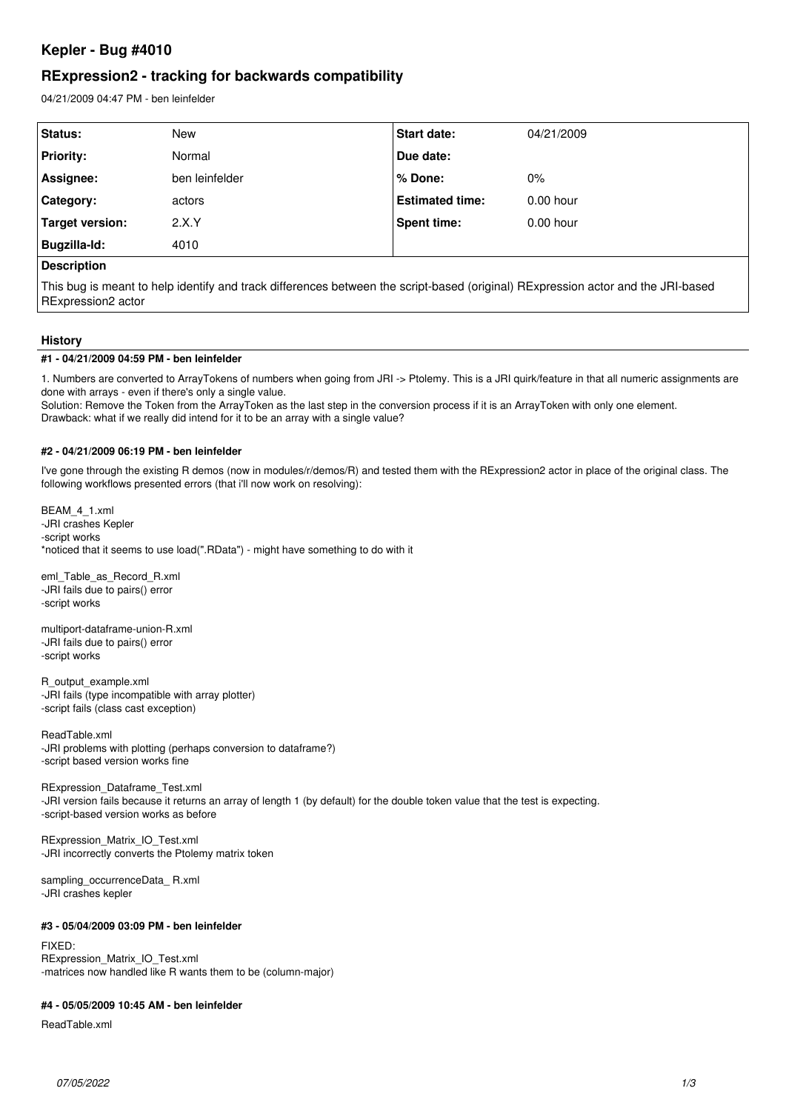# **Kepler - Bug #4010**

# **RExpression2 - tracking for backwards compatibility**

04/21/2009 04:47 PM - ben leinfelder

| Status:          | <b>New</b>     | <b>Start date:</b>     | 04/21/2009  |  |
|------------------|----------------|------------------------|-------------|--|
| <b>Priority:</b> | Normal         | Due date:              |             |  |
| Assignee:        | ben leinfelder | % Done:                | 0%          |  |
| Category:        | actors         | <b>Estimated time:</b> | $0.00$ hour |  |
| Target version:  | 2.X.Y          | <b>Spent time:</b>     | $0.00$ hour |  |
| Bugzilla-Id:     | 4010           |                        |             |  |
| .                |                |                        |             |  |

# **Description**

This bug is meant to help identify and track differences between the script-based (original) RExpression actor and the JRI-based RExpression2 actor

### **History**

#### **#1 - 04/21/2009 04:59 PM - ben leinfelder**

1. Numbers are converted to ArrayTokens of numbers when going from JRI -> Ptolemy. This is a JRI quirk/feature in that all numeric assignments are done with arrays - even if there's only a single value.

Solution: Remove the Token from the ArrayToken as the last step in the conversion process if it is an ArrayToken with only one element. Drawback: what if we really did intend for it to be an array with a single value?

#### **#2 - 04/21/2009 06:19 PM - ben leinfelder**

I've gone through the existing R demos (now in modules/r/demos/R) and tested them with the RExpression2 actor in place of the original class. The following workflows presented errors (that i'll now work on resolving):

BEAM\_4\_1.xml -JRI crashes Kepler -script works \*noticed that it seems to use load(".RData") - might have something to do with it

eml\_Table\_as\_Record\_R.xml -JRI fails due to pairs() error -script works

multiport-dataframe-union-R.xml -JRI fails due to pairs() error -script works

R\_output\_example.xml -JRI fails (type incompatible with array plotter) -script fails (class cast exception)

ReadTable.xml -JRI problems with plotting (perhaps conversion to dataframe?) -script based version works fine

RExpression\_Dataframe\_Test.xml -JRI version fails because it returns an array of length 1 (by default) for the double token value that the test is expecting. -script-based version works as before

RExpression\_Matrix\_IO\_Test.xml -JRI incorrectly converts the Ptolemy matrix token

sampling\_occurrenceData\_ R.xml -JRI crashes kepler

#### **#3 - 05/04/2009 03:09 PM - ben leinfelder**

FIXED: RExpression\_Matrix\_IO\_Test.xml -matrices now handled like R wants them to be (column-major)

## **#4 - 05/05/2009 10:45 AM - ben leinfelder**

ReadTable.xml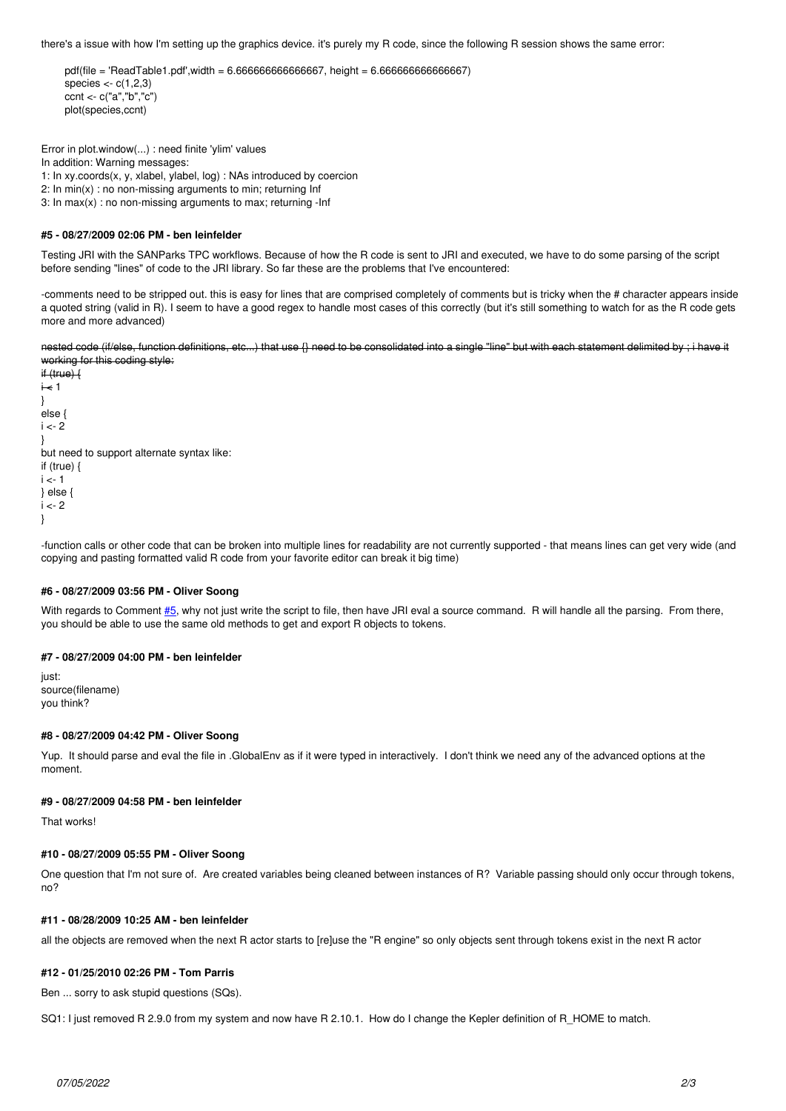there's a issue with how I'm setting up the graphics device. it's purely my R code, since the following R session shows the same error:

```
pdffile = 'ReadTable1.pdf', width = 6.66666666666667, height = 6.66666666666667)species \lt- c(1,2,3)
ccnt <- c("a","b","c")
plot(species,ccnt)
```
Error in plot.window(...) : need finite 'ylim' values In addition: Warning messages: 1: In xy.coords(x, y, xlabel, ylabel, log) : NAs introduced by coercion 2: In min(x) : no non-missing arguments to min; returning Inf 3: In max(x) : no non-missing arguments to max; returning -Inf

# **#5 - 08/27/2009 02:06 PM - ben leinfelder**

Testing JRI with the SANParks TPC workflows. Because of how the R code is sent to JRI and executed, we have to do some parsing of the script before sending "lines" of code to the JRI library. So far these are the problems that I've encountered:

-comments need to be stripped out. this is easy for lines that are comprised completely of comments but is tricky when the # character appears inside a quoted string (valid in R). I seem to have a good regex to handle most cases of this correctly (but it's still something to watch for as the R code gets more and more advanced)

nested code (if/else, function definitions, etc...) that use {} need to be consolidated into a single "line" but with each statement delimited by ; i have it working for this coding style:

if (true) {  $i \nless 1$ } else {  $i < -2$ } but need to support alternate syntax like: if (true) {  $i < -1$ } else {  $i < 2$ }

-function calls or other code that can be broken into multiple lines for readability are not currently supported - that means lines can get very wide (and copying and pasting formatted valid R code from your favorite editor can break it big time)

#### **#6 - 08/27/2009 03:56 PM - Oliver Soong**

With regards to Comment  $#5$ , why not just write the script to file, then have JRI eval a source command. R will handle all the parsing. From there, you should be able to use the same old methods to get and export R objects to tokens.

## **#7 - 08/27/2009 04:00 PM - ben leinfelder**

just: source(filename) you think?

#### **#8 - 08/27/2009 04:42 PM - Oliver Soong**

Yup. It should parse and eval the file in .GlobalEnv as if it were typed in interactively. I don't think we need any of the advanced options at the moment.

# **#9 - 08/27/2009 04:58 PM - ben leinfelder**

That works!

#### **#10 - 08/27/2009 05:55 PM - Oliver Soong**

One question that I'm not sure of. Are created variables being cleaned between instances of R? Variable passing should only occur through tokens, no?

## **#11 - 08/28/2009 10:25 AM - ben leinfelder**

all the objects are removed when the next R actor starts to [re]use the "R engine" so only objects sent through tokens exist in the next R actor

#### **#12 - 01/25/2010 02:26 PM - Tom Parris**

Ben ... sorry to ask stupid questions (SQs).

SQ1: I just removed R 2.9.0 from my system and now have R 2.10.1. How do I change the Kepler definition of R\_HOME to match.